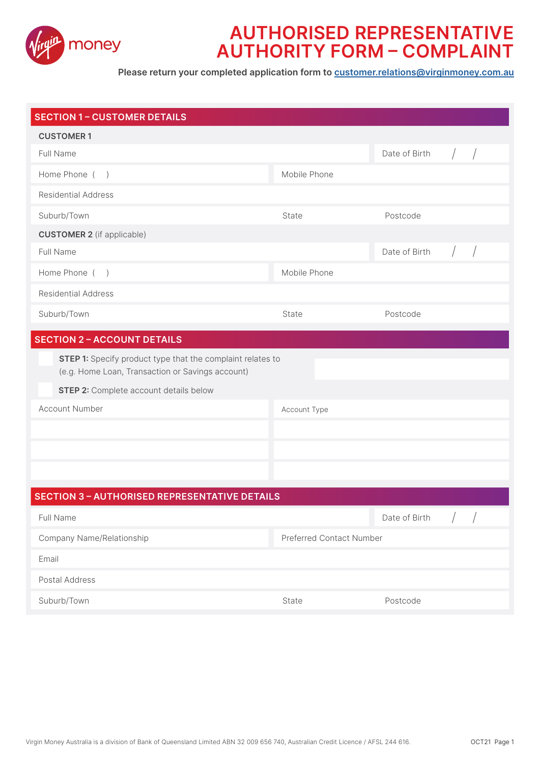

## **AUTHORISED REPRESENTATIVE AUTHORITY FORM – COMPLAINT**

**Please return your completed application form to customer.relations@virginmoney.com.au**

| <b>SECTION 1 - CUSTOMER DETAILS</b>                                                                                                                      |                                 |               |  |
|----------------------------------------------------------------------------------------------------------------------------------------------------------|---------------------------------|---------------|--|
| <b>CUSTOMER1</b>                                                                                                                                         |                                 |               |  |
| Full Name                                                                                                                                                |                                 | Date of Birth |  |
| Home Phone ()                                                                                                                                            | Mobile Phone                    |               |  |
| <b>Residential Address</b>                                                                                                                               |                                 |               |  |
| Suburb/Town                                                                                                                                              | State                           | Postcode      |  |
| <b>CUSTOMER 2</b> (if applicable)                                                                                                                        |                                 |               |  |
| Full Name                                                                                                                                                |                                 | Date of Birth |  |
| Home Phone ()                                                                                                                                            | Mobile Phone                    |               |  |
| <b>Residential Address</b>                                                                                                                               |                                 |               |  |
| Suburb/Town                                                                                                                                              | State                           | Postcode      |  |
| <b>SECTION 2 - ACCOUNT DETAILS</b>                                                                                                                       |                                 |               |  |
| STEP 1: Specify product type that the complaint relates to<br>(e.g. Home Loan, Transaction or Savings account)<br>STEP 2: Complete account details below |                                 |               |  |
| <b>Account Number</b>                                                                                                                                    | Account Type                    |               |  |
|                                                                                                                                                          |                                 |               |  |
|                                                                                                                                                          |                                 |               |  |
|                                                                                                                                                          |                                 |               |  |
|                                                                                                                                                          |                                 |               |  |
| <b>SECTION 3 - AUTHORISED REPRESENTATIVE DETAILS</b>                                                                                                     |                                 |               |  |
| Full Name                                                                                                                                                |                                 | Date of Birth |  |
| Company Name/Relationship                                                                                                                                | <b>Preferred Contact Number</b> |               |  |
| Email                                                                                                                                                    |                                 |               |  |
| Postal Address                                                                                                                                           |                                 |               |  |
| Suburb/Town                                                                                                                                              | State                           | Postcode      |  |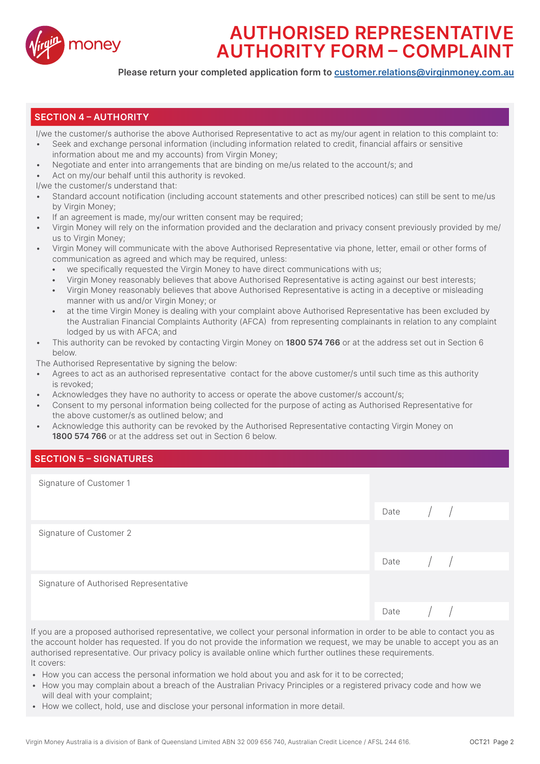

# **AUTHORISED REPRESENTATIVE AUTHORITY FORM – COMPLAINT**

**Please return your completed application form to customer.relations@virginmoney.com.au**

### **SECTION 4 – AUTHORITY**

I/we the customer/s authorise the above Authorised Representative to act as my/our agent in relation to this complaint to:

- Seek and exchange personal information (including information related to credit, financial affairs or sensitive information about me and my accounts) from Virgin Money;
- Negotiate and enter into arrangements that are binding on me/us related to the account/s; and
- Act on my/our behalf until this authority is revoked.
- I/we the customer/s understand that:
- Standard account notification (including account statements and other prescribed notices) can still be sent to me/us by Virgin Money;
- If an agreement is made, my/our written consent may be required;
- Virgin Money will rely on the information provided and the declaration and privacy consent previously provided by me/ us to Virgin Money;
- Virgin Money will communicate with the above Authorised Representative via phone, letter, email or other forms of communication as agreed and which may be required, unless:
	- we specifically requested the Virgin Money to have direct communications with us;
	- Virgin Money reasonably believes that above Authorised Representative is acting against our best interests;
	- Virgin Money reasonably believes that above Authorised Representative is acting in a deceptive or misleading manner with us and/or Virgin Money; or
	- at the time Virgin Money is dealing with your complaint above Authorised Representative has been excluded by the Australian Financial Complaints Authority (AFCA) from representing complainants in relation to any complaint lodged by us with AFCA; and
- This authority can be revoked by contacting Virgin Money on **1800 574 766** or at the address set out in Section 6 below.

The Authorised Representative by signing the below:

- Agrees to act as an authorised representative contact for the above customer/s until such time as this authority is revoked;
- Acknowledges they have no authority to access or operate the above customer/s account/s;
- Consent to my personal information being collected for the purpose of acting as Authorised Representative for the above customer/s as outlined below; and
- Acknowledge this authority can be revoked by the Authorised Representative contacting Virgin Money on **1800 574 766** or at the address set out in Section 6 below.

### **SECTION 5 – SIGNATURES**

| Signature of Customer 1                |              |                      |  |
|----------------------------------------|--------------|----------------------|--|
|                                        | Date         | $\frac{1}{2}$        |  |
| Signature of Customer 2                |              |                      |  |
|                                        | Date $/$ $/$ |                      |  |
| Signature of Authorised Representative |              |                      |  |
|                                        | Date         | $\frac{1}{\sqrt{2}}$ |  |

If you are a proposed authorised representative, we collect your personal information in order to be able to contact you as the account holder has requested. If you do not provide the information we request, we may be unable to accept you as an authorised representative. Our privacy policy is available online which further outlines these requirements. It covers:

- How you can access the personal information we hold about you and ask for it to be corrected;
- How you may complain about a breach of the Australian Privacy Principles or a registered privacy code and how we will deal with your complaint;
- How we collect, hold, use and disclose your personal information in more detail.